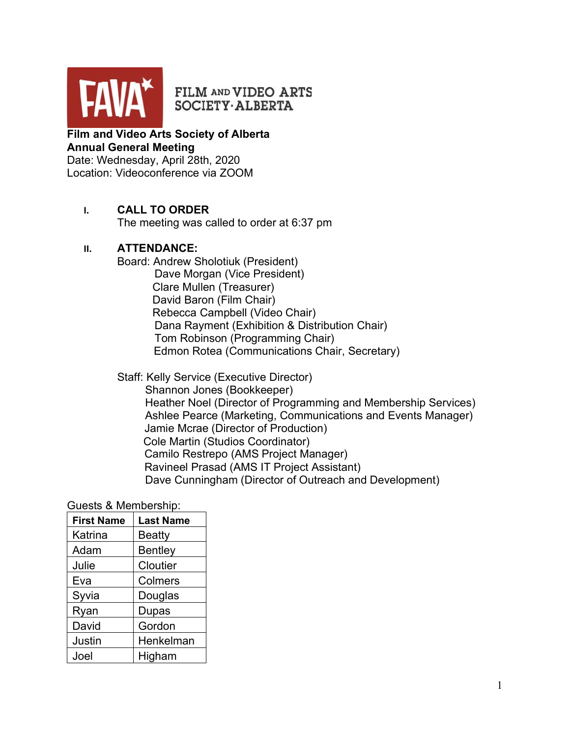

FILM AND VIDEO ARTS SOCIETY·ALBERTA

## **Film and Video Arts Society of Alberta Annual General Meeting** Date: Wednesday, April 28th, 2020

Location: Videoconference via ZOOM

# **I. CALL TO ORDER**

The meeting was called to order at 6:37 pm

## **II. ATTENDANCE:**

Board: Andrew Sholotiuk (President) Dave Morgan (Vice President) Clare Mullen (Treasurer) David Baron (Film Chair) Rebecca Campbell (Video Chair) Dana Rayment (Exhibition & Distribution Chair) Tom Robinson (Programming Chair) Edmon Rotea (Communications Chair, Secretary)

### Staff: Kelly Service (Executive Director)

 Shannon Jones (Bookkeeper) Heather Noel (Director of Programming and Membership Services) Ashlee Pearce (Marketing, Communications and Events Manager) Jamie Mcrae (Director of Production) Cole Martin (Studios Coordinator) Camilo Restrepo (AMS Project Manager) Ravineel Prasad (AMS IT Project Assistant) Dave Cunningham (Director of Outreach and Development)

### Guests & Membership:

| <b>First Name</b> | <b>Last Name</b> |
|-------------------|------------------|
| Katrina           | <b>Beatty</b>    |
| Adam              | <b>Bentley</b>   |
| Julie             | Cloutier         |
| Eva               | Colmers          |
| Syvia             | Douglas          |
| Ryan              | <b>Dupas</b>     |
| David             | Gordon           |
| Justin            | Henkelman        |
| Joel              | Higham           |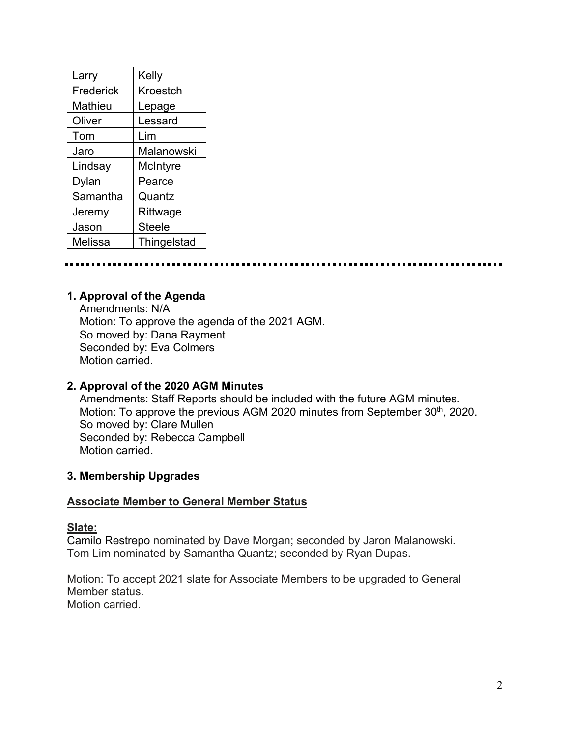| Larry     | Kelly         |
|-----------|---------------|
| Frederick | Kroestch      |
| Mathieu   | Lepage        |
| Oliver    | Lessard       |
| Tom       | Lim           |
| Jaro      | Malanowski    |
| Lindsay   | McIntyre      |
| Dylan     | Pearce        |
| Samantha  | Quantz        |
| Jeremy    | Rittwage      |
| Jason     | <b>Steele</b> |
| Melissa   | Thingelstad   |

## **1. Approval of the Agenda**

 Amendments: N/A Motion: To approve the agenda of the 2021 AGM. So moved by: Dana Rayment Seconded by: Eva Colmers Motion carried.

### **2. Approval of the 2020 AGM Minutes**

 Amendments: Staff Reports should be included with the future AGM minutes. Motion: To approve the previous AGM 2020 minutes from September 30<sup>th</sup>, 2020. So moved by: Clare Mullen Seconded by: Rebecca Campbell Motion carried.

### **3. Membership Upgrades**

#### **Associate Member to General Member Status**

#### **Slate:**

Camilo Restrepo nominated by Dave Morgan; seconded by Jaron Malanowski. Tom Lim nominated by Samantha Quantz; seconded by Ryan Dupas.

Motion: To accept 2021 slate for Associate Members to be upgraded to General Member status. Motion carried.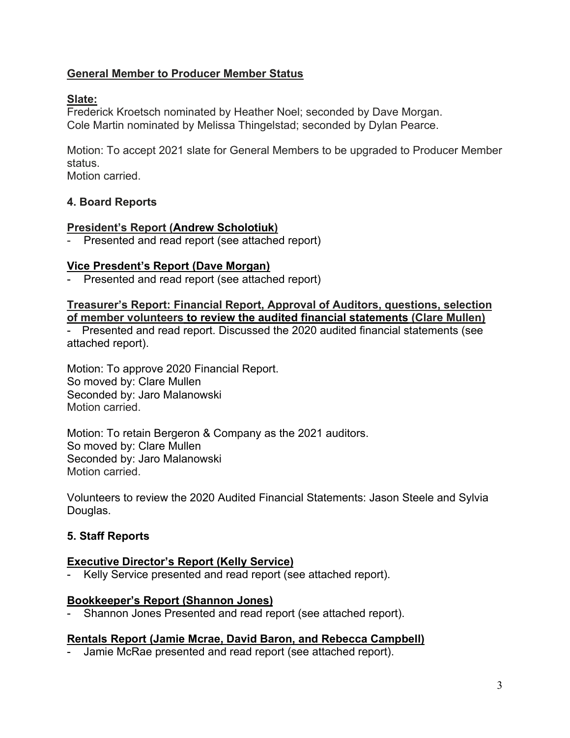# **General Member to Producer Member Status**

# **Slate:**

Frederick Kroetsch nominated by Heather Noel; seconded by Dave Morgan. Cole Martin nominated by Melissa Thingelstad; seconded by Dylan Pearce.

Motion: To accept 2021 slate for General Members to be upgraded to Producer Member status.

Motion carried.

# **4. Board Reports**

## **President's Report (Andrew Scholotiuk)**

Presented and read report (see attached report)

# **Vice Presdent's Report (Dave Morgan)**

- Presented and read report (see attached report)

**Treasurer's Report: Financial Report, Approval of Auditors, questions, selection of member volunteers to review the audited financial statements (Clare Mullen)**

- Presented and read report. Discussed the 2020 audited financial statements (see attached report).

Motion: To approve 2020 Financial Report. So moved by: Clare Mullen Seconded by: Jaro Malanowski Motion carried.

Motion: To retain Bergeron & Company as the 2021 auditors. So moved by: Clare Mullen Seconded by: Jaro Malanowski Motion carried.

Volunteers to review the 2020 Audited Financial Statements: Jason Steele and Sylvia Douglas.

# **5. Staff Reports**

### **Executive Director's Report (Kelly Service)**

Kelly Service presented and read report (see attached report).

### **Bookkeeper's Report (Shannon Jones)**

Shannon Jones Presented and read report (see attached report).

### **Rentals Report (Jamie Mcrae, David Baron, and Rebecca Campbell)**

Jamie McRae presented and read report (see attached report).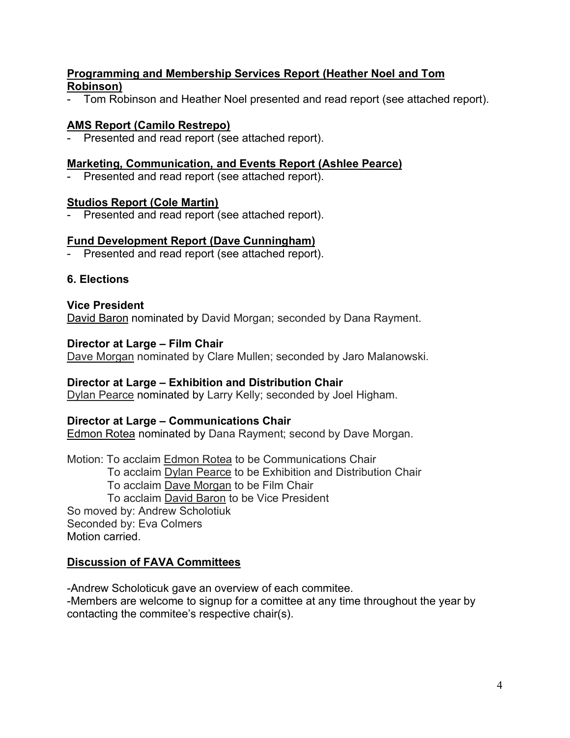# **Programming and Membership Services Report (Heather Noel and Tom Robinson)**

- Tom Robinson and Heather Noel presented and read report (see attached report).

# **AMS Report (Camilo Restrepo)**

- Presented and read report (see attached report).

#### **Marketing, Communication, and Events Report (Ashlee Pearce)**

- Presented and read report (see attached report).

#### **Studios Report (Cole Martin)**

Presented and read report (see attached report).

## **Fund Development Report (Dave Cunningham)**

Presented and read report (see attached report).

### **6. Elections**

### **Vice President**

David Baron nominated by David Morgan; seconded by Dana Rayment.

### **Director at Large – Film Chair**

Dave Morgan nominated by Clare Mullen; seconded by Jaro Malanowski.

### **Director at Large – Exhibition and Distribution Chair**

Dylan Pearce nominated by Larry Kelly; seconded by Joel Higham.

#### **Director at Large – Communications Chair**

**Edmon Rotea nominated by Dana Rayment; second by Dave Morgan.** 

Motion: To acclaim Edmon Rotea to be Communications Chair To acclaim **Dylan Pearce** to be Exhibition and Distribution Chair To acclaim Dave Morgan to be Film Chair To acclaim David Baron to be Vice President So moved by: Andrew Scholotiuk Seconded by: Eva Colmers Motion carried.

### **Discussion of FAVA Committees**

-Andrew Scholoticuk gave an overview of each commitee.

-Members are welcome to signup for a comittee at any time throughout the year by contacting the commitee's respective chair(s).